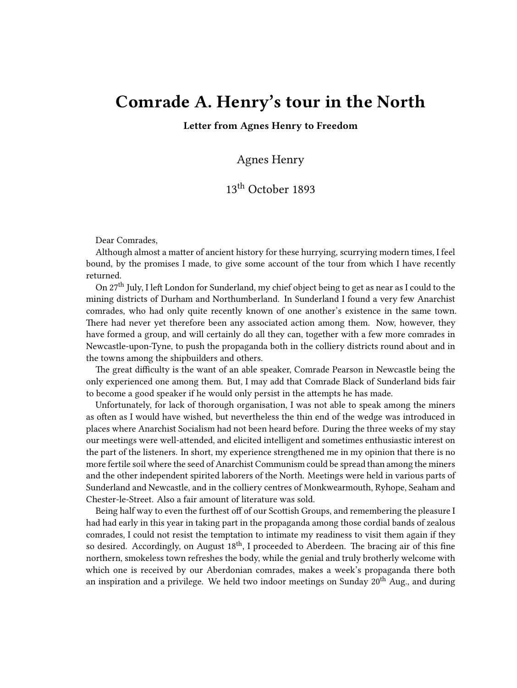## **Comrade A. Henry's tour in the North**

**Letter from Agnes Henry to Freedom**

Agnes Henry

## 13<sup>th</sup> October 1893

Dear Comrades,

Although almost a matter of ancient history for these hurrying, scurrying modern times, I feel bound, by the promises I made, to give some account of the tour from which I have recently returned.

On 27th July, I left London for Sunderland, my chief object being to get as near as I could to the mining districts of Durham and Northumberland. In Sunderland I found a very few Anarchist comrades, who had only quite recently known of one another's existence in the same town. There had never yet therefore been any associated action among them. Now, however, they have formed a group, and will certainly do all they can, together with a few more comrades in Newcastle-upon-Tyne, to push the propaganda both in the colliery districts round about and in the towns among the shipbuilders and others.

The great difficulty is the want of an able speaker, Comrade Pearson in Newcastle being the only experienced one among them. But, I may add that Comrade Black of Sunderland bids fair to become a good speaker if he would only persist in the attempts he has made.

Unfortunately, for lack of thorough organisation, I was not able to speak among the miners as often as I would have wished, but nevertheless the thin end of the wedge was introduced in places where Anarchist Socialism had not been heard before. During the three weeks of my stay our meetings were well-attended, and elicited intelligent and sometimes enthusiastic interest on the part of the listeners. In short, my experience strengthened me in my opinion that there is no more fertile soil where the seed of Anarchist Communism could be spread than among the miners and the other independent spirited laborers of the North. Meetings were held in various parts of Sunderland and Newcastle, and in the colliery centres of Monkwearmouth, Ryhope, Seaham and Chester-le-Street. Also a fair amount of literature was sold.

Being half way to even the furthest off of our Scottish Groups, and remembering the pleasure I had had early in this year in taking part in the propaganda among those cordial bands of zealous comrades, I could not resist the temptation to intimate my readiness to visit them again if they so desired. Accordingly, on August  $18<sup>th</sup>$ , I proceeded to Aberdeen. The bracing air of this fine northern, smokeless town refreshes the body, while the genial and truly brotherly welcome with which one is received by our Aberdonian comrades, makes a week's propaganda there both an inspiration and a privilege. We held two indoor meetings on Sunday  $20^{th}$  Aug., and during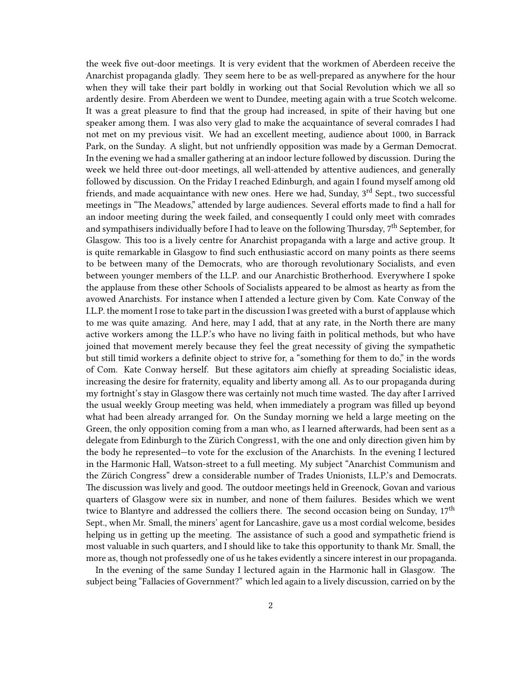the week five out-door meetings. It is very evident that the workmen of Aberdeen receive the Anarchist propaganda gladly. They seem here to be as well-prepared as anywhere for the hour when they will take their part boldly in working out that Social Revolution which we all so ardently desire. From Aberdeen we went to Dundee, meeting again with a true Scotch welcome. It was a great pleasure to find that the group had increased, in spite of their having but one speaker among them. I was also very glad to make the acquaintance of several comrades I had not met on my previous visit. We had an excellent meeting, audience about 1000, in Barrack Park, on the Sunday. A slight, but not unfriendly opposition was made by a German Democrat. In the evening we had a smaller gathering at an indoor lecture followed by discussion. During the week we held three out-door meetings, all well-attended by attentive audiences, and generally followed by discussion. On the Friday I reached Edinburgh, and again I found myself among old friends, and made acquaintance with new ones. Here we had, Sunday, 3<sup>rd</sup> Sept., two successful meetings in "The Meadows," attended by large audiences. Several efforts made to find a hall for an indoor meeting during the week failed, and consequently I could only meet with comrades and sympathisers individually before I had to leave on the following Thursday, 7<sup>th</sup> September, for Glasgow. This too is a lively centre for Anarchist propaganda with a large and active group. It is quite remarkable in Glasgow to find such enthusiastic accord on many points as there seems to be between many of the Democrats, who are thorough revolutionary Socialists, and even between younger members of the I.L.P. and our Anarchistic Brotherhood. Everywhere I spoke the applause from these other Schools of Socialists appeared to be almost as hearty as from the avowed Anarchists. For instance when I attended a lecture given by Com. Kate Conway of the I.L.P. the moment I rose to take part in the discussion I was greeted with a burst of applause which to me was quite amazing. And here, may I add, that at any rate, in the North there are many active workers among the I.L.P.'s who have no living faith in political methods, but who have joined that movement merely because they feel the great necessity of giving the sympathetic but still timid workers a definite object to strive for, a "something for them to do," in the words of Com. Kate Conway herself. But these agitators aim chiefly at spreading Socialistic ideas, increasing the desire for fraternity, equality and liberty among all. As to our propaganda during my fortnight's stay in Glasgow there was certainly not much time wasted. The day after I arrived the usual weekly Group meeting was held, when immediately a program was filled up beyond what had been already arranged for. On the Sunday morning we held a large meeting on the Green, the only opposition coming from a man who, as I learned afterwards, had been sent as a delegate from Edinburgh to the Zürich Congress1, with the one and only direction given him by the body he represented—to vote for the exclusion of the Anarchists. In the evening I lectured in the Harmonic Hall, Watson-street to a full meeting. My subject "Anarchist Communism and the Zürich Congress" drew a considerable number of Trades Unionists, I.L.P.'s and Democrats. The discussion was lively and good. The outdoor meetings held in Greenock, Govan and various quarters of Glasgow were six in number, and none of them failures. Besides which we went twice to Blantyre and addressed the colliers there. The second occasion being on Sunday, 17<sup>th</sup> Sept., when Mr. Small, the miners' agent for Lancashire, gave us a most cordial welcome, besides helping us in getting up the meeting. The assistance of such a good and sympathetic friend is most valuable in such quarters, and I should like to take this opportunity to thank Mr. Small, the more as, though not professedly one of us he takes evidently a sincere interest in our propaganda.

In the evening of the same Sunday I lectured again in the Harmonic hall in Glasgow. The subject being "Fallacies of Government?" which led again to a lively discussion, carried on by the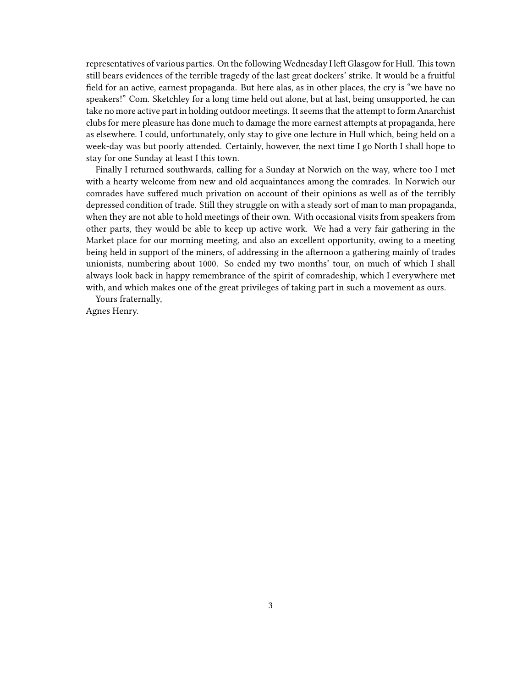representatives of various parties. On the following Wednesday I left Glasgow for Hull. This town still bears evidences of the terrible tragedy of the last great dockers' strike. It would be a fruitful field for an active, earnest propaganda. But here alas, as in other places, the cry is "we have no speakers!" Com. Sketchley for a long time held out alone, but at last, being unsupported, he can take no more active part in holding outdoor meetings. It seems that the attempt to form Anarchist clubs for mere pleasure has done much to damage the more earnest attempts at propaganda, here as elsewhere. I could, unfortunately, only stay to give one lecture in Hull which, being held on a week-day was but poorly attended. Certainly, however, the next time I go North I shall hope to stay for one Sunday at least I this town.

Finally I returned southwards, calling for a Sunday at Norwich on the way, where too I met with a hearty welcome from new and old acquaintances among the comrades. In Norwich our comrades have suffered much privation on account of their opinions as well as of the terribly depressed condition of trade. Still they struggle on with a steady sort of man to man propaganda, when they are not able to hold meetings of their own. With occasional visits from speakers from other parts, they would be able to keep up active work. We had a very fair gathering in the Market place for our morning meeting, and also an excellent opportunity, owing to a meeting being held in support of the miners, of addressing in the afternoon a gathering mainly of trades unionists, numbering about 1000. So ended my two months' tour, on much of which I shall always look back in happy remembrance of the spirit of comradeship, which I everywhere met with, and which makes one of the great privileges of taking part in such a movement as ours.

Yours fraternally,

Agnes Henry.